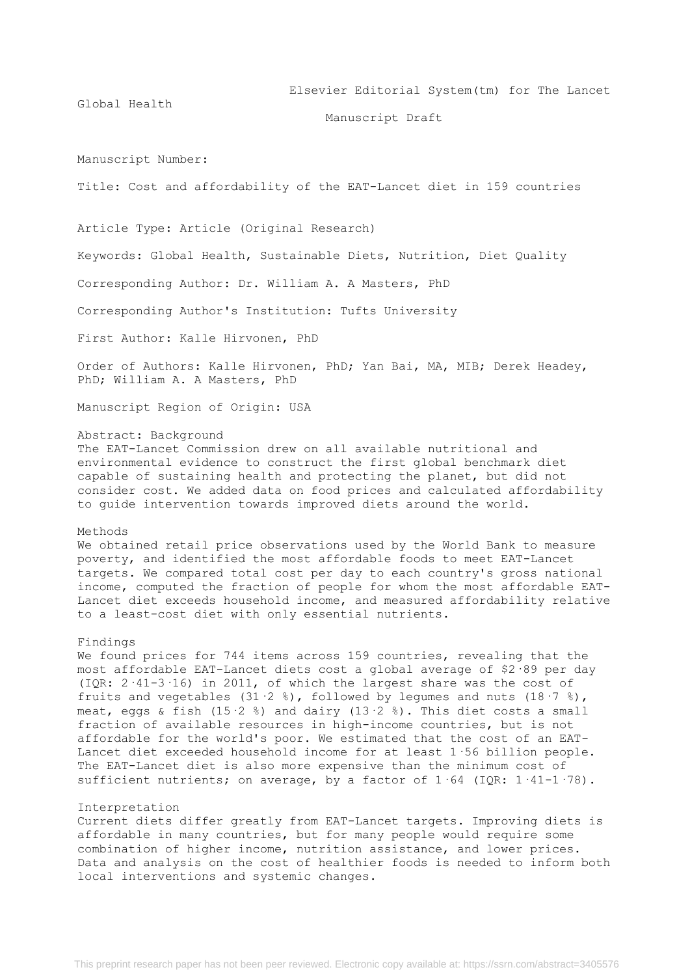Global Health

#### Manuscript Draft

Manuscript Number:

Title: Cost and affordability of the EAT-Lancet diet in 159 countries

Article Type: Article (Original Research)

Keywords: Global Health, Sustainable Diets, Nutrition, Diet Quality

Corresponding Author: Dr. William A. A Masters, PhD

Corresponding Author's Institution: Tufts University

First Author: Kalle Hirvonen, PhD

Order of Authors: Kalle Hirvonen, PhD; Yan Bai, MA, MIB; Derek Headey, PhD; William A. A Masters, PhD

Manuscript Region of Origin: USA

#### Abstract: Background

The EAT-Lancet Commission drew on all available nutritional and environmental evidence to construct the first global benchmark diet capable of sustaining health and protecting the planet, but did not consider cost. We added data on food prices and calculated affordability to guide intervention towards improved diets around the world.

## Methods

We obtained retail price observations used by the World Bank to measure poverty, and identified the most affordable foods to meet EAT-Lancet targets. We compared total cost per day to each country's gross national income, computed the fraction of people for whom the most affordable EAT-Lancet diet exceeds household income, and measured affordability relative to a least-cost diet with only essential nutrients.

#### Findings

We found prices for 744 items across 159 countries, revealing that the most affordable EAT-Lancet diets cost a global average of \$2·89 per day (IQR: 2·41-3·16) in 2011, of which the largest share was the cost of fruits and vegetables (31.2 %), followed by legumes and nuts (18.7 %), meat, eggs & fish (15.2 %) and dairy (13.2 %). This diet costs a small fraction of available resources in high-income countries, but is not affordable for the world's poor. We estimated that the cost of an EAT-Lancet diet exceeded household income for at least 1·56 billion people. The EAT-Lancet diet is also more expensive than the minimum cost of sufficient nutrients; on average, by a factor of  $1.64$  (IQR:  $1.41-1.78$ ).

#### Interpretation

Current diets differ greatly from EAT-Lancet targets. Improving diets is affordable in many countries, but for many people would require some combination of higher income, nutrition assistance, and lower prices. Data and analysis on the cost of healthier foods is needed to inform both local interventions and systemic changes.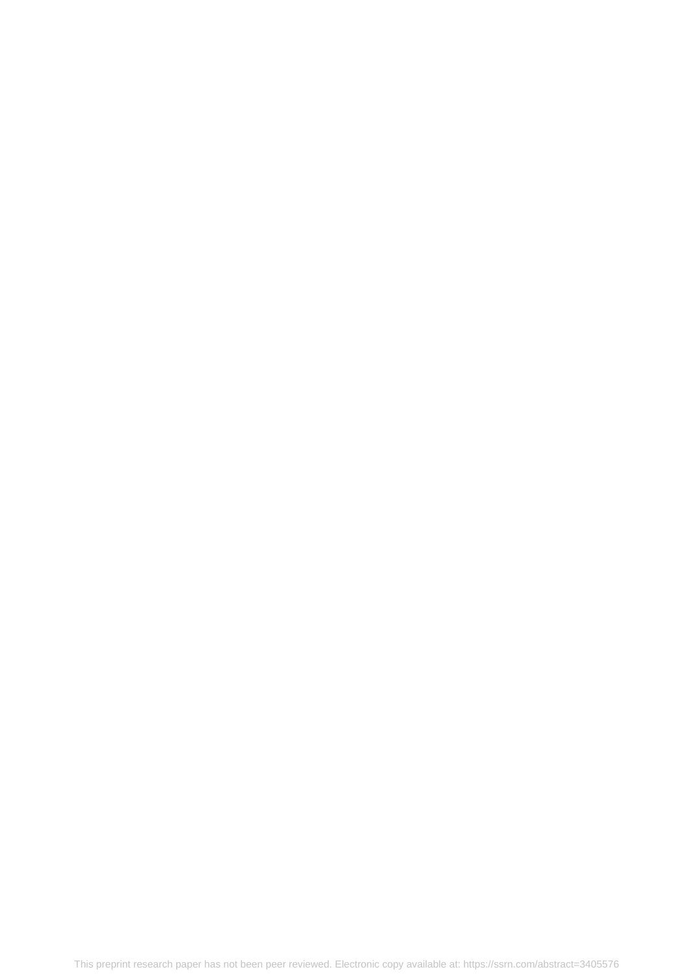This preprint research paper has not been peer reviewed. Electronic copy available at: https://ssrn.com/abstract=3405576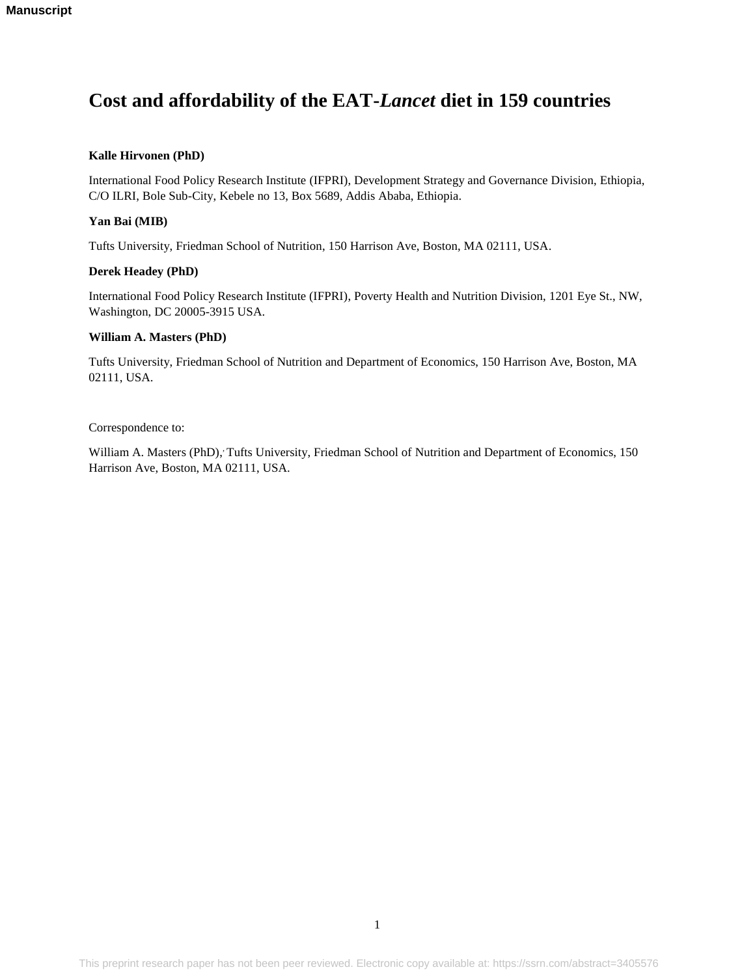# **Cost and affordability of the EAT-***Lancet* **diet in 159 countries**

# **Kalle Hirvonen (PhD)**

International Food Policy Research Institute (IFPRI), Development Strategy and Governance Division, Ethiopia, C/O ILRI, Bole Sub-City, Kebele no 13, Box 5689, Addis Ababa, Ethiopia.

# **Yan Bai (MIB)**

Tufts University, Friedman School of Nutrition, 150 Harrison Ave, Boston, MA 02111, USA.

# **Derek Headey (PhD)**

International Food Policy Research Institute (IFPRI), Poverty Health and Nutrition Division, 1201 Eye St., NW, Washington, DC 20005-3915 USA.

## **William A. Masters (PhD)**

Tufts University, Friedman School of Nutrition and Department of Economics, 150 Harrison Ave, Boston, MA 02111, USA.

Correspondence to:

William A. Masters (PhD), Tufts University, Friedman School of Nutrition and Department of Economics, 150 Harrison Ave, Boston, MA 02111, USA.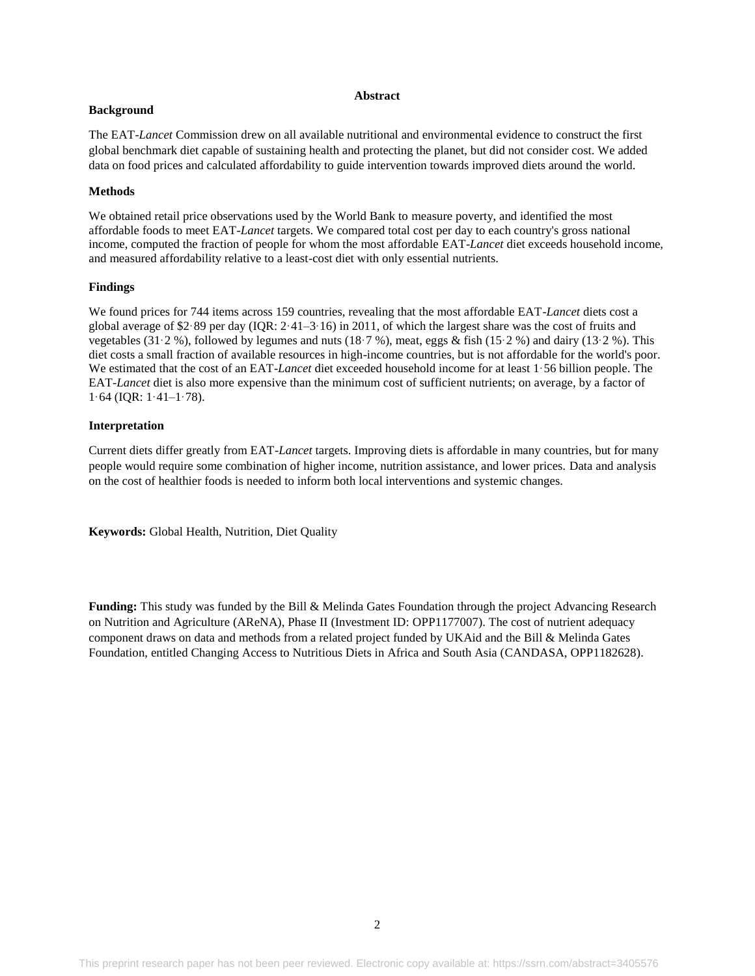#### **Abstract**

# **Background**

The EAT-*Lancet* Commission drew on all available nutritional and environmental evidence to construct the first global benchmark diet capable of sustaining health and protecting the planet, but did not consider cost. We added data on food prices and calculated affordability to guide intervention towards improved diets around the world.

# **Methods**

We obtained retail price observations used by the World Bank to measure poverty, and identified the most affordable foods to meet EAT-*Lancet* targets. We compared total cost per day to each country's gross national income, computed the fraction of people for whom the most affordable EAT-*Lancet* diet exceeds household income, and measured affordability relative to a least-cost diet with only essential nutrients.

# **Findings**

We found prices for 744 items across 159 countries, revealing that the most affordable EAT-*Lancet* diets cost a global average of \$2·89 per day (IQR: 2·41–3·16) in 2011, of which the largest share was the cost of fruits and vegetables (31·2 %), followed by legumes and nuts (18·7 %), meat, eggs  $\&$  fish (15·2 %) and dairy (13·2 %). This diet costs a small fraction of available resources in high-income countries, but is not affordable for the world's poor. We estimated that the cost of an EAT-*Lancet* diet exceeded household income for at least 1·56 billion people. The EAT-*Lancet* diet is also more expensive than the minimum cost of sufficient nutrients; on average, by a factor of 1·64 (IQR: 1·41–1·78).

# **Interpretation**

Current diets differ greatly from EAT-*Lancet* targets. Improving diets is affordable in many countries, but for many people would require some combination of higher income, nutrition assistance, and lower prices. Data and analysis on the cost of healthier foods is needed to inform both local interventions and systemic changes.

**Keywords:** Global Health, Nutrition, Diet Quality

**Funding:** This study was funded by the Bill & Melinda Gates Foundation through the project Advancing Research on Nutrition and Agriculture (AReNA), Phase II (Investment ID: OPP1177007). The cost of nutrient adequacy component draws on data and methods from a related project funded by UKAid and the Bill & Melinda Gates Foundation, entitled Changing Access to Nutritious Diets in Africa and South Asia (CANDASA, OPP1182628).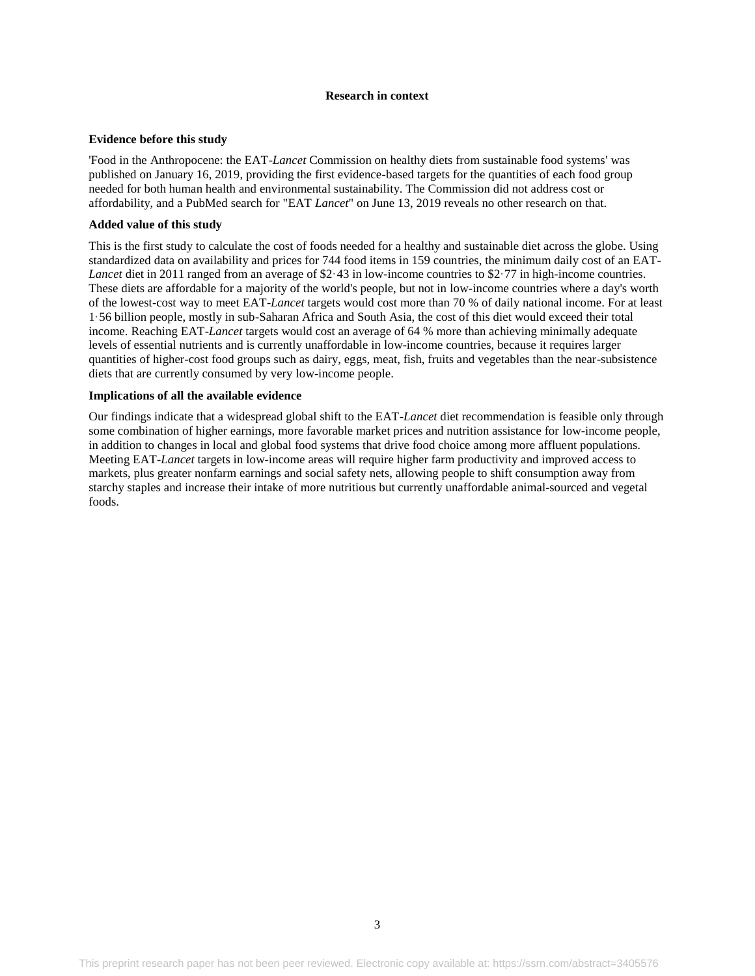## **Research in context**

## **Evidence before this study**

'Food in the Anthropocene: the EAT-*Lancet* Commission on healthy diets from sustainable food systems' was published on January 16, 2019, providing the first evidence-based targets for the quantities of each food group needed for both human health and environmental sustainability. The Commission did not address cost or affordability, and a PubMed search for "EAT *Lancet*" on June 13, 2019 reveals no other research on that.

## **Added value of this study**

This is the first study to calculate the cost of foods needed for a healthy and sustainable diet across the globe. Using standardized data on availability and prices for 744 food items in 159 countries, the minimum daily cost of an EAT-*Lancet* diet in 2011 ranged from an average of \$2·43 in low-income countries to \$2·77 in high-income countries. These diets are affordable for a majority of the world's people, but not in low-income countries where a day's worth of the lowest-cost way to meet EAT-*Lancet* targets would cost more than 70 % of daily national income. For at least 1·56 billion people, mostly in sub-Saharan Africa and South Asia, the cost of this diet would exceed their total income. Reaching EAT-*Lancet* targets would cost an average of 64 % more than achieving minimally adequate levels of essential nutrients and is currently unaffordable in low-income countries, because it requires larger quantities of higher-cost food groups such as dairy, eggs, meat, fish, fruits and vegetables than the near-subsistence diets that are currently consumed by very low-income people.

#### **Implications of all the available evidence**

Our findings indicate that a widespread global shift to the EAT-*Lancet* diet recommendation is feasible only through some combination of higher earnings, more favorable market prices and nutrition assistance for low-income people, in addition to changes in local and global food systems that drive food choice among more affluent populations. Meeting EAT-*Lancet* targets in low-income areas will require higher farm productivity and improved access to markets, plus greater nonfarm earnings and social safety nets, allowing people to shift consumption away from starchy staples and increase their intake of more nutritious but currently unaffordable animal-sourced and vegetal foods.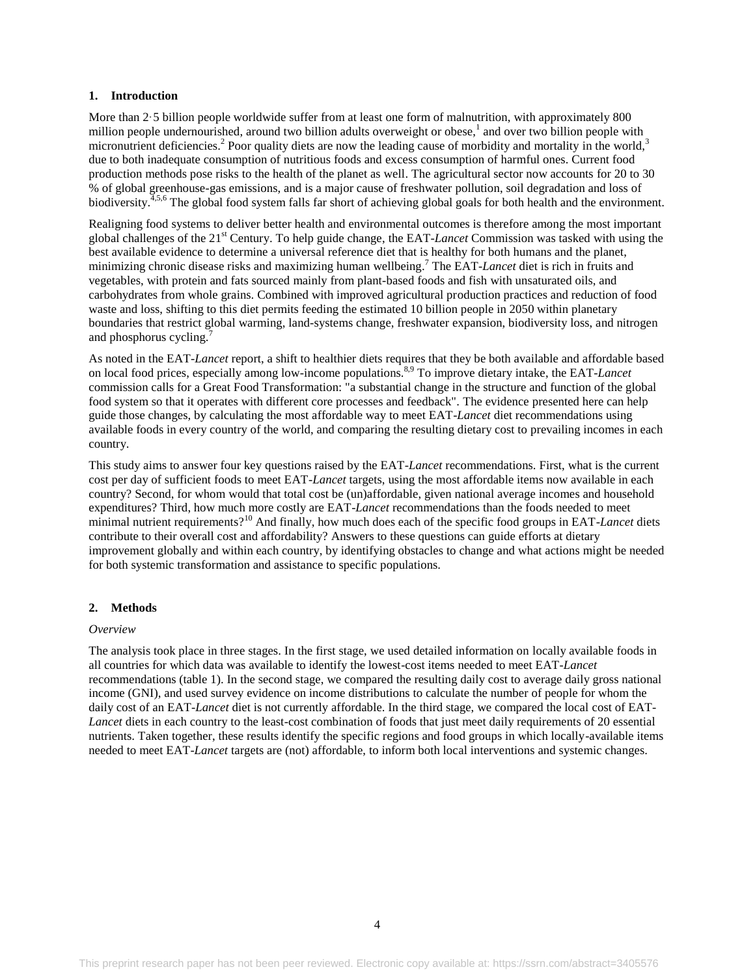## **1. Introduction**

More than 2·5 billion people worldwide suffer from at least one form of malnutrition, with approximately 800 million people undernourished, around two billion adults overweight or obese,<sup>1</sup> and over two billion people with micronutrient deficiencies.<sup>2</sup> Poor quality diets are now the leading cause of morbidity and mortality in the world,<sup>3</sup> due to both inadequate consumption of nutritious foods and excess consumption of harmful ones. Current food production methods pose risks to the health of the planet as well. The agricultural sector now accounts for 20 to 30 % of global greenhouse-gas emissions, and is a major cause of freshwater pollution, soil degradation and loss of biodiversity.<sup>4,5,6</sup> The global food system falls far short of achieving global goals for both health and the environment.

Realigning food systems to deliver better health and environmental outcomes is therefore among the most important global challenges of the 21st Century. To help guide change, the EAT-*Lancet* Commission was tasked with using the best available evidence to determine a universal reference diet that is healthy for both humans and the planet, minimizing chronic disease risks and maximizing human wellbeing. <sup>7</sup> The EAT-*Lancet* diet is rich in fruits and vegetables, with protein and fats sourced mainly from plant-based foods and fish with unsaturated oils, and carbohydrates from whole grains. Combined with improved agricultural production practices and reduction of food waste and loss, shifting to this diet permits feeding the estimated 10 billion people in 2050 within planetary boundaries that restrict global warming, land-systems change, freshwater expansion, biodiversity loss, and nitrogen and phosphorus cycling.

As noted in the EAT-*Lancet* report, a shift to healthier diets requires that they be both available and affordable based on local food prices, especially among low-income populations.8,9 To improve dietary intake, the EAT-*Lancet* commission calls for a Great Food Transformation: "a substantial change in the structure and function of the global food system so that it operates with different core processes and feedback". The evidence presented here can help guide those changes, by calculating the most affordable way to meet EAT-*Lancet* diet recommendations using available foods in every country of the world, and comparing the resulting dietary cost to prevailing incomes in each country.

This study aims to answer four key questions raised by the EAT-*Lancet* recommendations. First, what is the current cost per day of sufficient foods to meet EAT-*Lancet* targets, using the most affordable items now available in each country? Second, for whom would that total cost be (un)affordable, given national average incomes and household expenditures? Third, how much more costly are EAT-*Lancet* recommendations than the foods needed to meet minimal nutrient requirements?<sup>10</sup> And finally, how much does each of the specific food groups in EAT-*Lancet* diets contribute to their overall cost and affordability? Answers to these questions can guide efforts at dietary improvement globally and within each country, by identifying obstacles to change and what actions might be needed for both systemic transformation and assistance to specific populations.

#### **2. Methods**

#### *Overview*

The analysis took place in three stages. In the first stage, we used detailed information on locally available foods in all countries for which data was available to identify the lowest-cost items needed to meet EAT-*Lancet* recommendations (table 1). In the second stage, we compared the resulting daily cost to average daily gross national income (GNI), and used survey evidence on income distributions to calculate the number of people for whom the daily cost of an EAT-*Lancet* diet is not currently affordable. In the third stage, we compared the local cost of EAT-*Lancet* diets in each country to the least-cost combination of foods that just meet daily requirements of 20 essential nutrients. Taken together, these results identify the specific regions and food groups in which locally-available items needed to meet EAT-*Lancet* targets are (not) affordable, to inform both local interventions and systemic changes.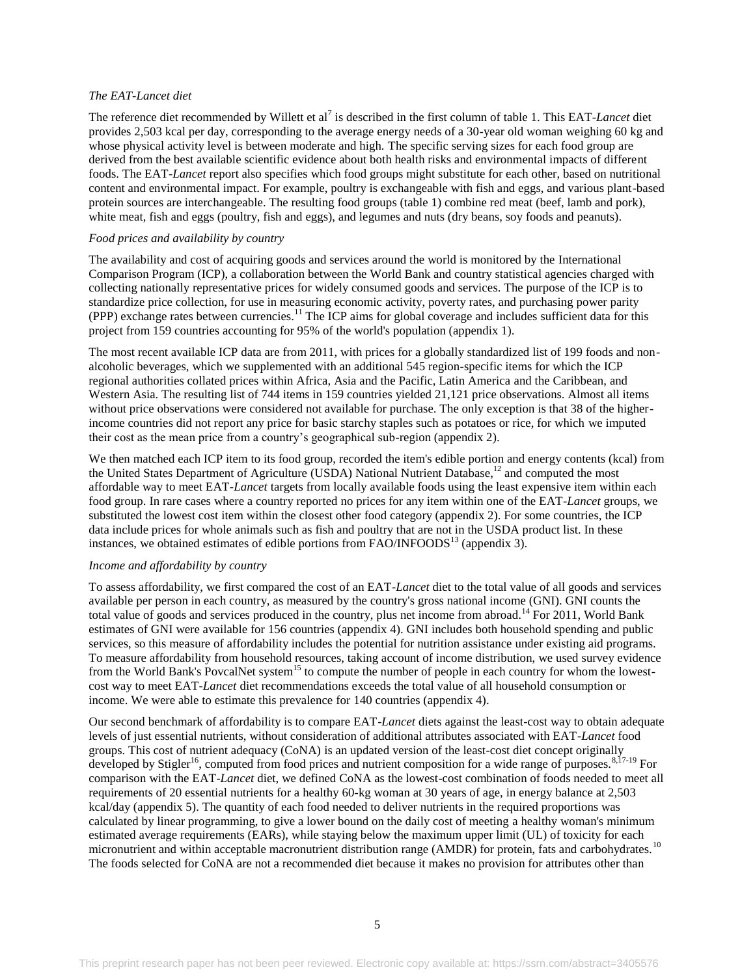# *The EAT-Lancet diet*

The reference diet recommended by Willett et al<sup>7</sup> is described in the first column of table 1. This EAT-*Lancet* diet provides 2,503 kcal per day, corresponding to the average energy needs of a 30-year old woman weighing 60 kg and whose physical activity level is between moderate and high. The specific serving sizes for each food group are derived from the best available scientific evidence about both health risks and environmental impacts of different foods. The EAT-*Lancet* report also specifies which food groups might substitute for each other, based on nutritional content and environmental impact. For example, poultry is exchangeable with fish and eggs, and various plant-based protein sources are interchangeable. The resulting food groups (table 1) combine red meat (beef, lamb and pork), white meat, fish and eggs (poultry, fish and eggs), and legumes and nuts (dry beans, soy foods and peanuts).

## *Food prices and availability by country*

The availability and cost of acquiring goods and services around the world is monitored by the International Comparison Program (ICP), a collaboration between the World Bank and country statistical agencies charged with collecting nationally representative prices for widely consumed goods and services. The purpose of the ICP is to standardize price collection, for use in measuring economic activity, poverty rates, and purchasing power parity (PPP) exchange rates between currencies.<sup>11</sup> The ICP aims for global coverage and includes sufficient data for this project from 159 countries accounting for 95% of the world's population (appendix 1).

The most recent available ICP data are from 2011, with prices for a globally standardized list of 199 foods and nonalcoholic beverages, which we supplemented with an additional 545 region-specific items for which the ICP regional authorities collated prices within Africa, Asia and the Pacific, Latin America and the Caribbean, and Western Asia. The resulting list of 744 items in 159 countries yielded 21,121 price observations. Almost all items without price observations were considered not available for purchase. The only exception is that 38 of the higherincome countries did not report any price for basic starchy staples such as potatoes or rice, for which we imputed their cost as the mean price from a country's geographical sub-region (appendix 2).

We then matched each ICP item to its food group, recorded the item's edible portion and energy contents (kcal) from the United States Department of Agriculture (USDA) National Nutrient Database,<sup>12</sup> and computed the most affordable way to meet EAT-*Lancet* targets from locally available foods using the least expensive item within each food group. In rare cases where a country reported no prices for any item within one of the EAT-*Lancet* groups, we substituted the lowest cost item within the closest other food category (appendix 2). For some countries, the ICP data include prices for whole animals such as fish and poultry that are not in the USDA product list. In these instances, we obtained estimates of edible portions from  $FAO/INFOODS<sup>13</sup>$  (appendix 3).

### *Income and affordability by country*

To assess affordability, we first compared the cost of an EAT-*Lancet* diet to the total value of all goods and services available per person in each country, as measured by the country's gross national income (GNI). GNI counts the total value of goods and services produced in the country, plus net income from abroad.<sup>14</sup> For 2011, World Bank estimates of GNI were available for 156 countries (appendix 4). GNI includes both household spending and public services, so this measure of affordability includes the potential for nutrition assistance under existing aid programs. To measure affordability from household resources, taking account of income distribution, we used survey evidence from the World Bank's PovcalNet system<sup>15</sup> to compute the number of people in each country for whom the lowestcost way to meet EAT-*Lancet* diet recommendations exceeds the total value of all household consumption or income. We were able to estimate this prevalence for 140 countries (appendix 4).

Our second benchmark of affordability is to compare EAT-*Lancet* diets against the least-cost way to obtain adequate levels of just essential nutrients, without consideration of additional attributes associated with EAT-*Lancet* food groups. This cost of nutrient adequacy (CoNA) is an updated version of the least-cost diet concept originally developed by Stigler<sup>16</sup>, computed from food prices and nutrient composition for a wide range of purposes.<sup>8,17-19</sup> For comparison with the EAT-*Lancet* diet, we defined CoNA as the lowest-cost combination of foods needed to meet all requirements of 20 essential nutrients for a healthy 60-kg woman at 30 years of age, in energy balance at 2,503 kcal/day (appendix 5). The quantity of each food needed to deliver nutrients in the required proportions was calculated by linear programming, to give a lower bound on the daily cost of meeting a healthy woman's minimum estimated average requirements (EARs), while staying below the maximum upper limit (UL) of toxicity for each micronutrient and within acceptable macronutrient distribution range (AMDR) for protein, fats and carbohydrates.<sup>10</sup> The foods selected for CoNA are not a recommended diet because it makes no provision for attributes other than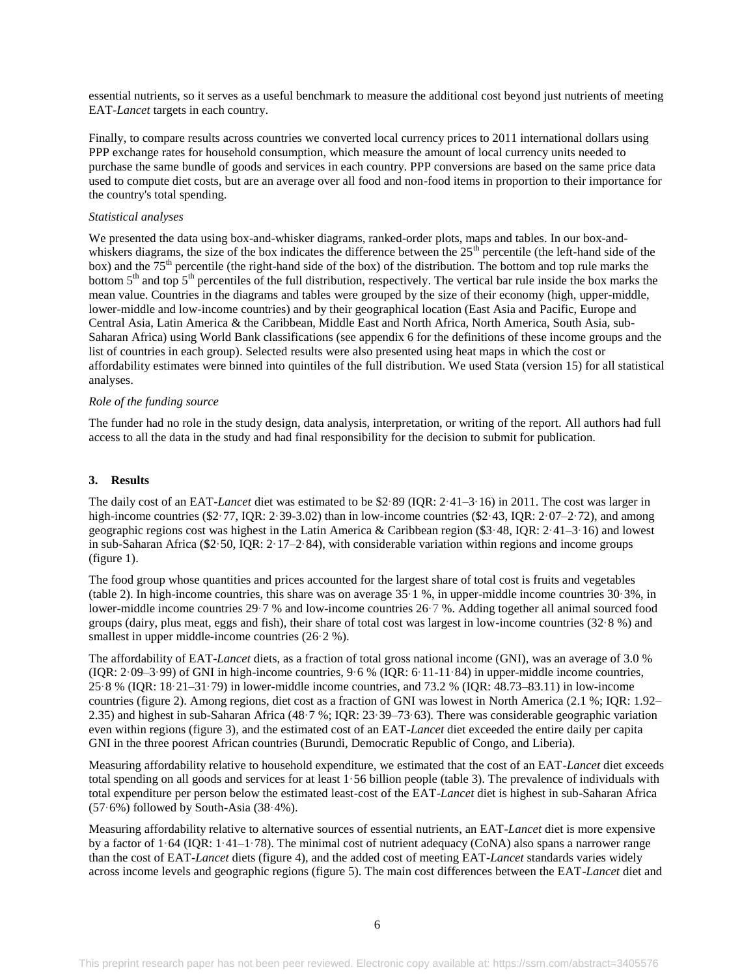essential nutrients, so it serves as a useful benchmark to measure the additional cost beyond just nutrients of meeting EAT-*Lancet* targets in each country.

Finally, to compare results across countries we converted local currency prices to 2011 international dollars using PPP exchange rates for household consumption, which measure the amount of local currency units needed to purchase the same bundle of goods and services in each country. PPP conversions are based on the same price data used to compute diet costs, but are an average over all food and non-food items in proportion to their importance for the country's total spending.

## *Statistical analyses*

We presented the data using box-and-whisker diagrams, ranked-order plots, maps and tables. In our box-andwhiskers diagrams, the size of the box indicates the difference between the  $25<sup>th</sup>$  percentile (the left-hand side of the box) and the  $75<sup>th</sup>$  percentile (the right-hand side of the box) of the distribution. The bottom and top rule marks the bottom  $5<sup>th</sup>$  and top  $5<sup>th</sup>$  percentiles of the full distribution, respectively. The vertical bar rule inside the box marks the mean value. Countries in the diagrams and tables were grouped by the size of their economy (high, upper-middle, lower-middle and low-income countries) and by their geographical location (East Asia and Pacific, Europe and Central Asia, Latin America & the Caribbean, Middle East and North Africa, North America, South Asia, sub-Saharan Africa) using World Bank classifications (see appendix 6 for the definitions of these income groups and the list of countries in each group). Selected results were also presented using heat maps in which the cost or affordability estimates were binned into quintiles of the full distribution. We used Stata (version 15) for all statistical analyses.

## *Role of the funding source*

The funder had no role in the study design, data analysis, interpretation, or writing of the report. All authors had full access to all the data in the study and had final responsibility for the decision to submit for publication.

## **3. Results**

The daily cost of an EAT-*Lancet* diet was estimated to be \$2·89 (IQR: 2·41–3·16) in 2011. The cost was larger in high-income countries (\$2.77, IQR: 2.39-3.02) than in low-income countries (\$2.43, IQR: 2.07–2.72), and among geographic regions cost was highest in the Latin America & Caribbean region (\$3·48, IQR: 2·41–3·16) and lowest in sub-Saharan Africa (\$2·50, IQR: 2·17–2·84), with considerable variation within regions and income groups (figure 1).

The food group whose quantities and prices accounted for the largest share of total cost is fruits and vegetables (table 2). In high-income countries, this share was on average 35·1 %, in upper-middle income countries 30·3%, in lower-middle income countries 29·7 % and low-income countries 26·7 %. Adding together all animal sourced food groups (dairy, plus meat, eggs and fish), their share of total cost was largest in low-income countries (32·8 %) and smallest in upper middle-income countries (26.2 %).

The affordability of EAT-*Lancet* diets, as a fraction of total gross national income (GNI), was an average of 3.0 % (IQR: 2·09–3·99) of GNI in high-income countries, 9·6 % (IQR: 6·11-11·84) in upper-middle income countries, 25·8 % (IQR: 18·21–31·79) in lower-middle income countries, and 73.2 % (IQR: 48.73–83.11) in low-income countries (figure 2). Among regions, diet cost as a fraction of GNI was lowest in North America (2.1 %; IQR: 1.92– 2.35) and highest in sub-Saharan Africa (48·7 %; IQR: 23·39–73·63). There was considerable geographic variation even within regions (figure 3), and the estimated cost of an EAT-*Lancet* diet exceeded the entire daily per capita GNI in the three poorest African countries (Burundi, Democratic Republic of Congo, and Liberia).

Measuring affordability relative to household expenditure, we estimated that the cost of an EAT-*Lancet* diet exceeds total spending on all goods and services for at least 1·56 billion people (table 3). The prevalence of individuals with total expenditure per person below the estimated least-cost of the EAT-*Lancet* diet is highest in sub-Saharan Africa (57·6%) followed by South-Asia (38·4%).

Measuring affordability relative to alternative sources of essential nutrients, an EAT-*Lancet* diet is more expensive by a factor of 1·64 (IQR: 1·41–1·78). The minimal cost of nutrient adequacy (CoNA) also spans a narrower range than the cost of EAT-*Lancet* diets (figure 4), and the added cost of meeting EAT-*Lancet* standards varies widely across income levels and geographic regions (figure 5). The main cost differences between the EAT-*Lancet* diet and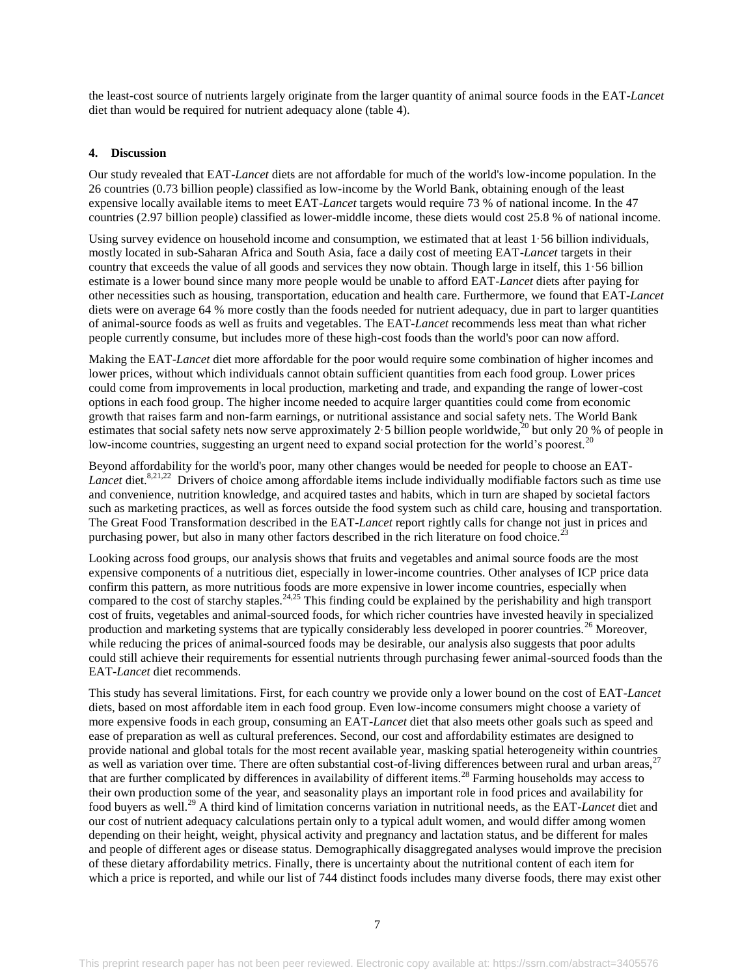the least-cost source of nutrients largely originate from the larger quantity of animal source foods in the EAT-*Lancet* diet than would be required for nutrient adequacy alone (table 4).

## **4. Discussion**

Our study revealed that EAT-*Lancet* diets are not affordable for much of the world's low-income population. In the 26 countries (0.73 billion people) classified as low-income by the World Bank, obtaining enough of the least expensive locally available items to meet EAT-*Lancet* targets would require 73 % of national income. In the 47 countries (2.97 billion people) classified as lower-middle income, these diets would cost 25.8 % of national income.

Using survey evidence on household income and consumption, we estimated that at least 1·56 billion individuals, mostly located in sub-Saharan Africa and South Asia, face a daily cost of meeting EAT-*Lancet* targets in their country that exceeds the value of all goods and services they now obtain. Though large in itself, this 1·56 billion estimate is a lower bound since many more people would be unable to afford EAT-*Lancet* diets after paying for other necessities such as housing, transportation, education and health care. Furthermore, we found that EAT-*Lancet* diets were on average 64 % more costly than the foods needed for nutrient adequacy, due in part to larger quantities of animal-source foods as well as fruits and vegetables. The EAT-*Lancet* recommends less meat than what richer people currently consume, but includes more of these high-cost foods than the world's poor can now afford.

Making the EAT-*Lancet* diet more affordable for the poor would require some combination of higher incomes and lower prices, without which individuals cannot obtain sufficient quantities from each food group. Lower prices could come from improvements in local production, marketing and trade, and expanding the range of lower-cost options in each food group. The higher income needed to acquire larger quantities could come from economic growth that raises farm and non-farm earnings, or nutritional assistance and social safety nets. The World Bank estimates that social safety nets now serve approximately 2.5 billion people worldwide,<sup>20</sup> but only 20 % of people in low-income countries, suggesting an urgent need to expand social protection for the world's poorest.<sup>20</sup>

Beyond affordability for the world's poor, many other changes would be needed for people to choose an EAT-Lancet diet.<sup>8,21,22</sup> Drivers of choice among affordable items include individually modifiable factors such as time use and convenience, nutrition knowledge, and acquired tastes and habits, which in turn are shaped by societal factors such as marketing practices, as well as forces outside the food system such as child care, housing and transportation. The Great Food Transformation described in the EAT-*Lancet* report rightly calls for change not just in prices and purchasing power, but also in many other factors described in the rich literature on food choice.<sup>2</sup>

Looking across food groups, our analysis shows that fruits and vegetables and animal source foods are the most expensive components of a nutritious diet, especially in lower-income countries. Other analyses of ICP price data confirm this pattern, as more nutritious foods are more expensive in lower income countries, especially when compared to the cost of starchy staples.<sup>24,25</sup> This finding could be explained by the perishability and high transport cost of fruits, vegetables and animal-sourced foods, for which richer countries have invested heavily in specialized production and marketing systems that are typically considerably less developed in poorer countries.<sup>26</sup> Moreover, while reducing the prices of animal-sourced foods may be desirable, our analysis also suggests that poor adults could still achieve their requirements for essential nutrients through purchasing fewer animal-sourced foods than the EAT-*Lancet* diet recommends.

This study has several limitations. First, for each country we provide only a lower bound on the cost of EAT-*Lancet* diets, based on most affordable item in each food group. Even low-income consumers might choose a variety of more expensive foods in each group, consuming an EAT-*Lancet* diet that also meets other goals such as speed and ease of preparation as well as cultural preferences. Second, our cost and affordability estimates are designed to provide national and global totals for the most recent available year, masking spatial heterogeneity within countries as well as variation over time. There are often substantial cost-of-living differences between rural and urban areas,<sup>27</sup> that are further complicated by differences in availability of different items.<sup>28</sup> Farming households may access to their own production some of the year, and seasonality plays an important role in food prices and availability for food buyers as well.<sup>29</sup> A third kind of limitation concerns variation in nutritional needs, as the EAT-*Lancet* diet and our cost of nutrient adequacy calculations pertain only to a typical adult women, and would differ among women depending on their height, weight, physical activity and pregnancy and lactation status, and be different for males and people of different ages or disease status. Demographically disaggregated analyses would improve the precision of these dietary affordability metrics. Finally, there is uncertainty about the nutritional content of each item for which a price is reported, and while our list of 744 distinct foods includes many diverse foods, there may exist other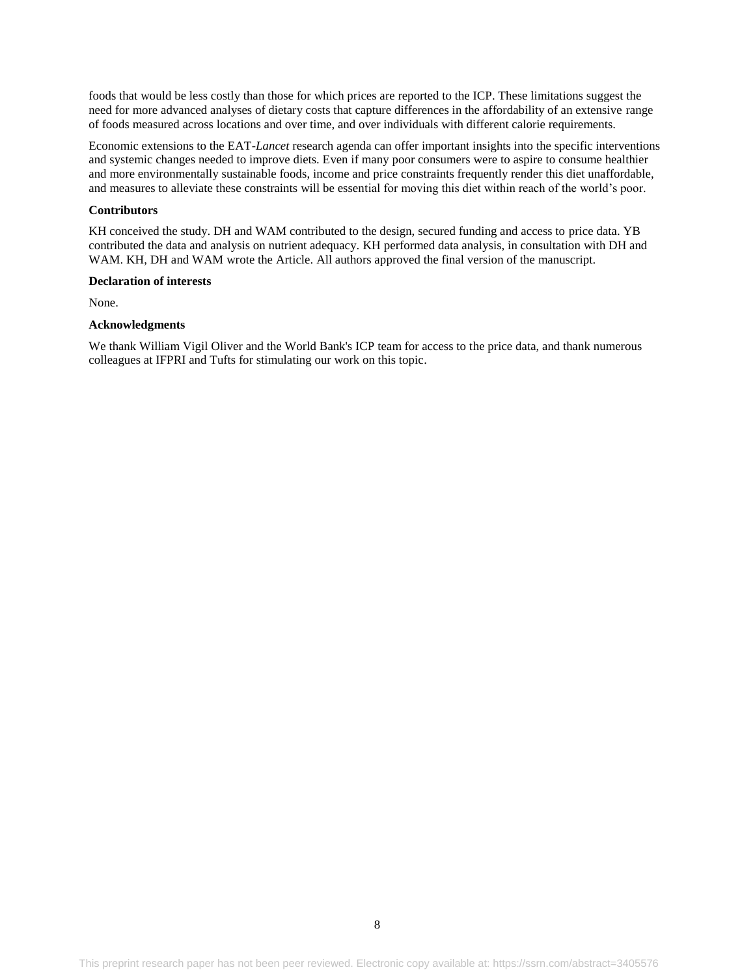foods that would be less costly than those for which prices are reported to the ICP. These limitations suggest the need for more advanced analyses of dietary costs that capture differences in the affordability of an extensive range of foods measured across locations and over time, and over individuals with different calorie requirements.

Economic extensions to the EAT-*Lancet* research agenda can offer important insights into the specific interventions and systemic changes needed to improve diets. Even if many poor consumers were to aspire to consume healthier and more environmentally sustainable foods, income and price constraints frequently render this diet unaffordable, and measures to alleviate these constraints will be essential for moving this diet within reach of the world's poor.

## **Contributors**

KH conceived the study. DH and WAM contributed to the design, secured funding and access to price data. YB contributed the data and analysis on nutrient adequacy. KH performed data analysis, in consultation with DH and WAM. KH, DH and WAM wrote the Article. All authors approved the final version of the manuscript.

#### **Declaration of interests**

None.

## **Acknowledgments**

We thank William Vigil Oliver and the World Bank's ICP team for access to the price data, and thank numerous colleagues at IFPRI and Tufts for stimulating our work on this topic.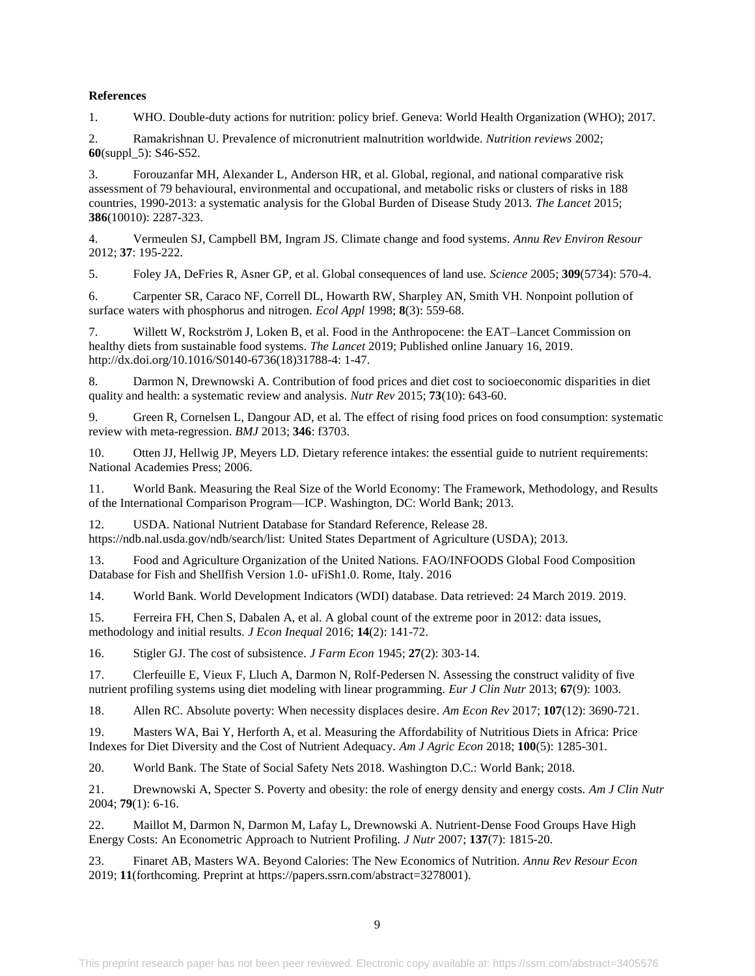## **References**

1. WHO. Double-duty actions for nutrition: policy brief. Geneva: World Health Organization (WHO); 2017.

2. Ramakrishnan U. Prevalence of micronutrient malnutrition worldwide. *Nutrition reviews* 2002; **60**(suppl\_5): S46-S52.

3. Forouzanfar MH, Alexander L, Anderson HR, et al. Global, regional, and national comparative risk assessment of 79 behavioural, environmental and occupational, and metabolic risks or clusters of risks in 188 countries, 1990-2013: a systematic analysis for the Global Burden of Disease Study 2013. *The Lancet* 2015; **386**(10010): 2287-323.

4. Vermeulen SJ, Campbell BM, Ingram JS. Climate change and food systems. *Annu Rev Environ Resour* 2012; **37**: 195-222.

5. Foley JA, DeFries R, Asner GP, et al. Global consequences of land use. *Science* 2005; **309**(5734): 570-4.

6. Carpenter SR, Caraco NF, Correll DL, Howarth RW, Sharpley AN, Smith VH. Nonpoint pollution of surface waters with phosphorus and nitrogen. *Ecol Appl* 1998; **8**(3): 559-68.

7. Willett W, Rockström J, Loken B, et al. Food in the Anthropocene: the EAT–Lancet Commission on healthy diets from sustainable food systems. *The Lancet* 2019; Published online January 16, 2019. http://dx.doi.org/10.1016/S0140-6736(18)31788-4: 1-47.

8. Darmon N, Drewnowski A. Contribution of food prices and diet cost to socioeconomic disparities in diet quality and health: a systematic review and analysis. *Nutr Rev* 2015; **73**(10): 643-60.

9. Green R, Cornelsen L, Dangour AD, et al. The effect of rising food prices on food consumption: systematic review with meta-regression. *BMJ* 2013; **346**: f3703.

10. Otten JJ, Hellwig JP, Meyers LD. Dietary reference intakes: the essential guide to nutrient requirements: National Academies Press; 2006.

11. World Bank. Measuring the Real Size of the World Economy: The Framework, Methodology, and Results of the International Comparison Program—ICP. Washington, DC: World Bank; 2013.

12. USDA. National Nutrient Database for Standard Reference, Release 28. https://ndb.nal.usda.gov/ndb/search/list: United States Department of Agriculture (USDA); 2013.

13. Food and Agriculture Organization of the United Nations. FAO/INFOODS Global Food Composition Database for Fish and Shellfish Version 1.0- uFiSh1.0. Rome, Italy. 2016

14. World Bank. World Development Indicators (WDI) database. Data retrieved: 24 March 2019. 2019.

15. Ferreira FH, Chen S, Dabalen A, et al. A global count of the extreme poor in 2012: data issues, methodology and initial results. *J Econ Inequal* 2016; **14**(2): 141-72.

16. Stigler GJ. The cost of subsistence. *J Farm Econ* 1945; **27**(2): 303-14.

17. Clerfeuille E, Vieux F, Lluch A, Darmon N, Rolf-Pedersen N. Assessing the construct validity of five nutrient profiling systems using diet modeling with linear programming. *Eur J Clin Nutr* 2013; **67**(9): 1003.

18. Allen RC. Absolute poverty: When necessity displaces desire. *Am Econ Rev* 2017; **107**(12): 3690-721.

19. Masters WA, Bai Y, Herforth A, et al. Measuring the Affordability of Nutritious Diets in Africa: Price Indexes for Diet Diversity and the Cost of Nutrient Adequacy. *Am J Agric Econ* 2018; **100**(5): 1285-301.

20. World Bank. The State of Social Safety Nets 2018. Washington D.C.: World Bank; 2018.

21. Drewnowski A, Specter S. Poverty and obesity: the role of energy density and energy costs. *Am J Clin Nutr* 2004; **79**(1): 6-16.

22. Maillot M, Darmon N, Darmon M, Lafay L, Drewnowski A. Nutrient-Dense Food Groups Have High Energy Costs: An Econometric Approach to Nutrient Profiling. *J Nutr* 2007; **137**(7): 1815-20.

23. Finaret AB, Masters WA. Beyond Calories: The New Economics of Nutrition. *Annu Rev Resour Econ* 2019; **11**(forthcoming. Preprint at https://papers.ssrn.com/abstract=3278001).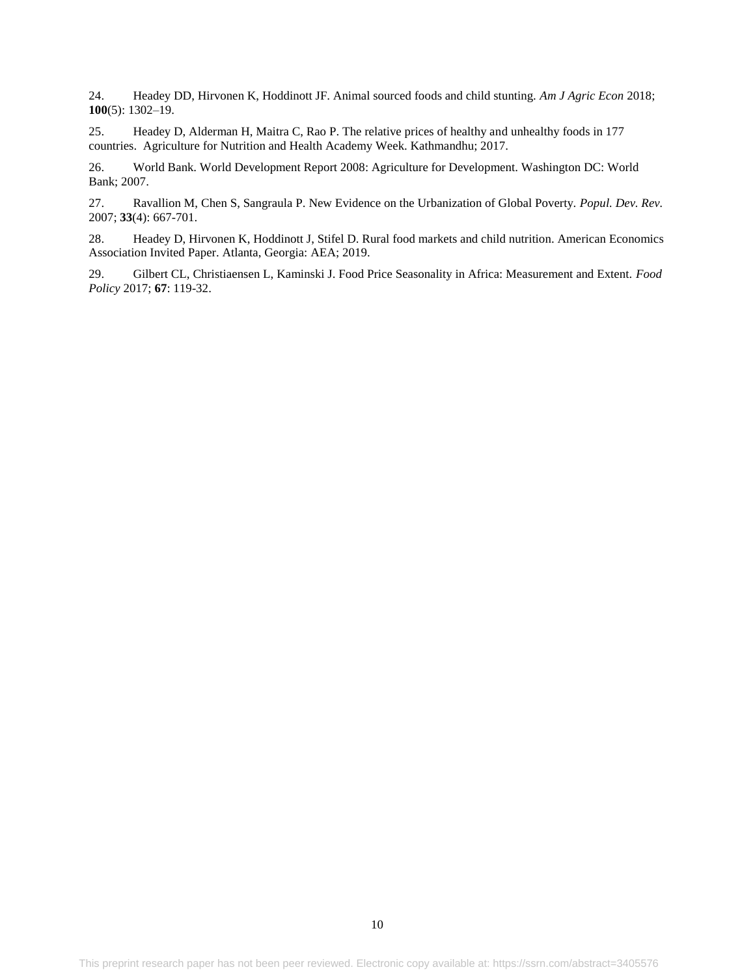24. Headey DD, Hirvonen K, Hoddinott JF. Animal sourced foods and child stunting. *Am J Agric Econ* 2018; **100**(5): 1302–19.

25. Headey D, Alderman H, Maitra C, Rao P. The relative prices of healthy and unhealthy foods in 177 countries. Agriculture for Nutrition and Health Academy Week. Kathmandhu; 2017.

26. World Bank. World Development Report 2008: Agriculture for Development. Washington DC: World Bank; 2007.

27. Ravallion M, Chen S, Sangraula P. New Evidence on the Urbanization of Global Poverty. *Popul. Dev. Rev.*  2007; **33**(4): 667-701.

28. Headey D, Hirvonen K, Hoddinott J, Stifel D. Rural food markets and child nutrition. American Economics Association Invited Paper. Atlanta, Georgia: AEA; 2019.

29. Gilbert CL, Christiaensen L, Kaminski J. Food Price Seasonality in Africa: Measurement and Extent. *Food Policy* 2017; **67**: 119-32.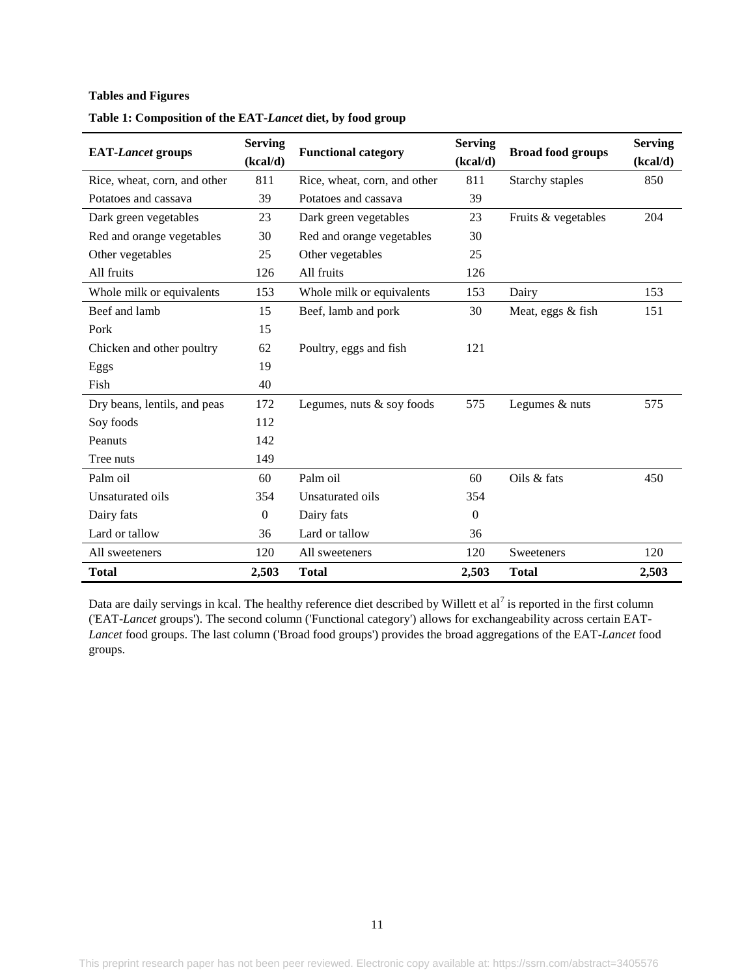# **Tables and Figures**

| <b>EAT-Lancet groups</b>     | <b>Serving</b><br>(kcal/d) | <b>Functional category</b>   | <b>Serving</b><br>(kcal/d) | <b>Broad food groups</b> | <b>Serving</b><br>(kcal/d) |
|------------------------------|----------------------------|------------------------------|----------------------------|--------------------------|----------------------------|
| Rice, wheat, corn, and other | 811                        | Rice, wheat, corn, and other | 811                        | Starchy staples          | 850                        |
| Potatoes and cassava         | 39                         | Potatoes and cassava         | 39                         |                          |                            |
| Dark green vegetables        | 23                         | Dark green vegetables        | 23                         | Fruits & vegetables      | 204                        |
| Red and orange vegetables    | 30                         | Red and orange vegetables    | 30                         |                          |                            |
| Other vegetables             | 25                         | Other vegetables             | 25                         |                          |                            |
| All fruits                   | 126                        | All fruits                   | 126                        |                          |                            |
| Whole milk or equivalents    | 153                        | Whole milk or equivalents    | 153                        | Dairy                    | 153                        |
| Beef and lamb                | 15                         | Beef, lamb and pork          | 30                         | Meat, eggs & fish        | 151                        |
| Pork                         | 15                         |                              |                            |                          |                            |
| Chicken and other poultry    | 62                         | Poultry, eggs and fish       | 121                        |                          |                            |
| Eggs                         | 19                         |                              |                            |                          |                            |
| Fish                         | 40                         |                              |                            |                          |                            |
| Dry beans, lentils, and peas | 172                        | Legumes, nuts $&$ soy foods  | 575                        | Legumes & nuts           | 575                        |
| Soy foods                    | 112                        |                              |                            |                          |                            |
| Peanuts                      | 142                        |                              |                            |                          |                            |
| Tree nuts                    | 149                        |                              |                            |                          |                            |
| Palm oil                     | 60                         | Palm oil                     | 60                         | Oils & fats              | 450                        |
| Unsaturated oils             | 354                        | Unsaturated oils             | 354                        |                          |                            |
| Dairy fats                   | $\mathbf{0}$               | Dairy fats                   | $\boldsymbol{0}$           |                          |                            |
| Lard or tallow               | 36                         | Lard or tallow               | 36                         |                          |                            |
| All sweeteners               | 120                        | All sweeteners               | 120                        | <b>Sweeteners</b>        | 120                        |
| <b>Total</b>                 | 2,503                      | <b>Total</b>                 | 2,503                      | <b>Total</b>             | 2,503                      |

**Table 1: Composition of the EAT-***Lancet* **diet, by food group**

Data are daily servings in kcal. The healthy reference diet described by Willett et al<sup>7</sup> is reported in the first column ('EAT-*Lancet* groups'). The second column ('Functional category') allows for exchangeability across certain EAT-*Lancet* food groups. The last column ('Broad food groups') provides the broad aggregations of the EAT-*Lancet* food groups.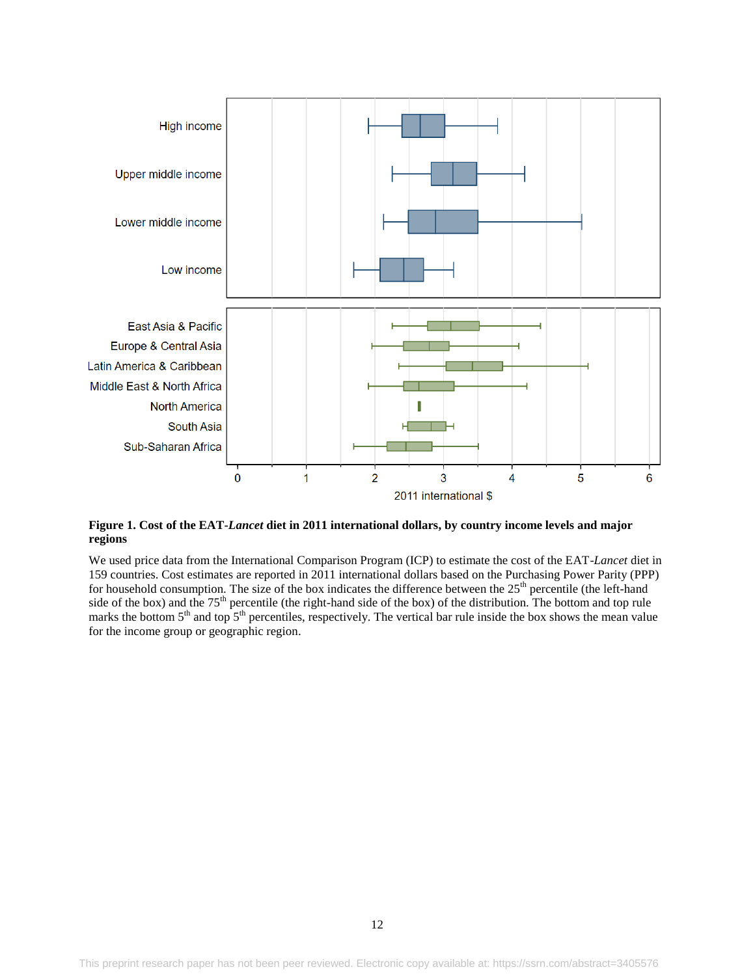

**Figure 1. Cost of the EAT-***Lancet* **diet in 2011 international dollars, by country income levels and major regions** 

We used price data from the International Comparison Program (ICP) to estimate the cost of the EAT-*Lancet* diet in 159 countries. Cost estimates are reported in 2011 international dollars based on the Purchasing Power Parity (PPP) for household consumption. The size of the box indicates the difference between the  $25<sup>th</sup>$  percentile (the left-hand side of the box) and the 75<sup>th</sup> percentile (the right-hand side of the box) of the distribution. The bottom and top rule marks the bottom  $5<sup>th</sup>$  and top  $5<sup>th</sup>$  percentiles, respectively. The vertical bar rule inside the box shows the mean value for the income group or geographic region.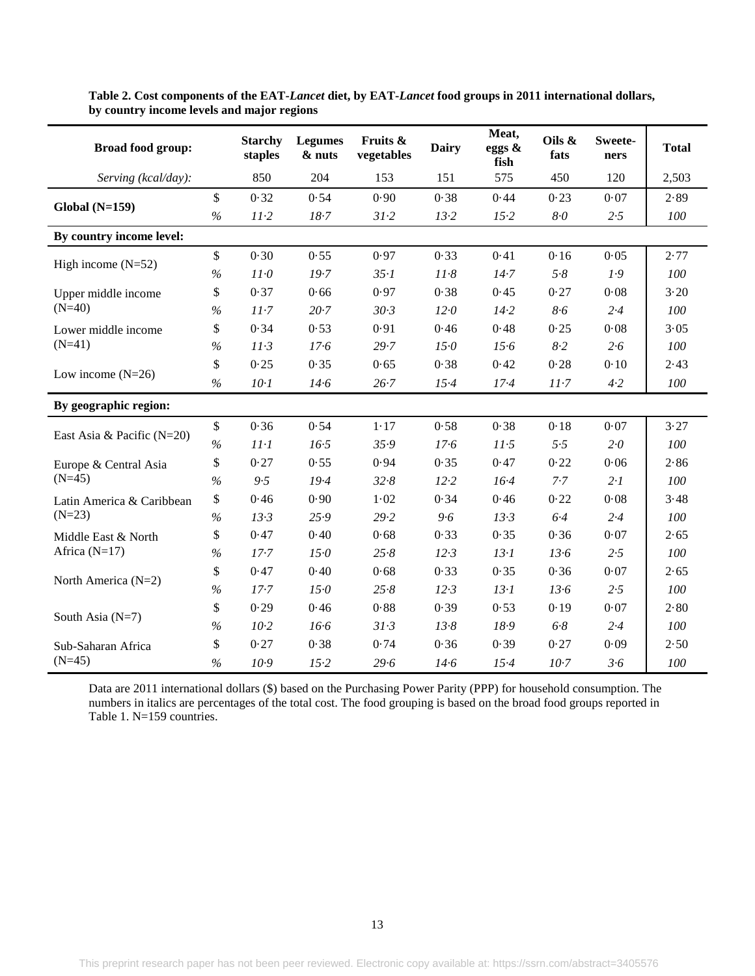| <b>Broad food group:</b>     |               | <b>Starchy</b><br>staples | <b>Legumes</b><br>$\&$ nuts | Fruits &<br>vegetables | <b>Dairy</b> | Meat,<br>eggs &<br>fish | Oils &<br>fats | Sweete-<br>ners | <b>Total</b> |
|------------------------------|---------------|---------------------------|-----------------------------|------------------------|--------------|-------------------------|----------------|-----------------|--------------|
| Serving (kcal/day):          |               | 850                       | 204                         | 153                    | 151          | 575                     | 450            | 120             | 2,503        |
| $Global (N=159)$             | \$            | 0.32                      | 0.54                        | 0.90                   | 0.38         | 0.44                    | 0.23           | 0.07            | 2.89         |
|                              | $\frac{0}{0}$ | $11-2$                    | 18.7                        | $31 - 2$               | 13.2         | 15.2                    | $8-0$          | 2.5             | 100          |
| By country income level:     |               |                           |                             |                        |              |                         |                |                 |              |
| High income $(N=52)$         | \$            | 0.30                      | 0.55                        | 0.97                   | 0.33         | 0.41                    | 0.16           | 0.05            | 2.77         |
|                              | $\%$          | $11-0$                    | 19.7                        | $35 - 1$               | $11-8$       | 14.7                    | 5.8            | $1.9$           | 100          |
| Upper middle income          | \$            | 0.37                      | 0.66                        | 0.97                   | 0.38         | 0.45                    | 0.27           | 0.08            | 3.20         |
| $(N=40)$                     | $\%$          | 11.7                      | 20.7                        | 30.3                   | $12 - 0$     | 14.2                    | $8-6$          | 2.4             | 100          |
| Lower middle income          | \$            | 0.34                      | 0.53                        | 0.91                   | 0.46         | 0.48                    | 0.25           | 0.08            | 3.05         |
| $(N=41)$                     | $\%$          | $11-3$                    | $17-6$                      | 29.7                   | $15-0$       | 15.6                    | 8.2            | 2.6             | 100          |
| Low income $(N=26)$          | \$            | 0.25                      | 0.35                        | 0.65                   | 0.38         | 0.42                    | 0.28           | 0.10            | 2.43         |
|                              | $\%$          | $10-1$                    | 14.6                        | $26 - 7$               | 15.4         | 17.4                    | $11-7$         | 4.2             | 100          |
| By geographic region:        |               |                           |                             |                        |              |                         |                |                 |              |
|                              | \$            | 0.36                      | 0.54                        | $1 - 17$               | 0.58         | 0.38                    | 0.18           | 0.07            | 3.27         |
| East Asia & Pacific $(N=20)$ | $\%$          | $11-1$                    | 16.5                        | 35.9                   | $17-6$       | 11.5                    | 5.5            | $2 - 0$         | 100          |
| Europe & Central Asia        | \$            | 0.27                      | 0.55                        | 0.94                   | 0.35         | 0.47                    | 0.22           | 0.06            | 2.86         |
| $(N=45)$                     | $\%$          | 9.5                       | 19.4                        | $32 - 8$               | 12.2         | 16.4                    | 7.7            | $2 \cdot I$     | 100          |
| Latin America & Caribbean    | \$            | 0.46                      | 0.90                        | 1.02                   | 0.34         | 0.46                    | 0.22           | 0.08            | 3.48         |
| $(N=23)$                     | $\frac{0}{0}$ | 13.3                      | 25.9                        | 29.2                   | 9.6          | 13.3                    | $6 - 4$        | 2.4             | 100          |
| Middle East & North          | \$            | 0.47                      | 0.40                        | 0.68                   | 0.33         | 0.35                    | 0.36           | 0.07            | 2.65         |
| Africa $(N=17)$              | $\%$          | 17.7                      | 15.0                        | $25 - 8$               | 12.3         | 13.1                    | 13.6           | 2.5             | 100          |
| North America (N=2)          | \$            | 0.47                      | 0.40                        | 0.68                   | 0.33         | 0.35                    | 0.36           | 0.07            | 2.65         |
|                              | $\%$          | 17.7                      | 15.0                        | $25 - 8$               | 12.3         | $13-1$                  | 13.6           | 2.5             | 100          |
| South Asia $(N=7)$           | \$            | 0.29                      | 0.46                        | 0.88                   | 0.39         | 0.53                    | 0.19           | 0.07            | 2.80         |
|                              | $\%$          | $10-2$                    | $16-6$                      | 31.3                   | 13.8         | 18.9                    | 6.8            | 2.4             | 100          |
| Sub-Saharan Africa           | \$            | 0.27                      | 0.38                        | 0.74                   | 0.36         | 0.39                    | 0.27           | 0.09            | 2.50         |
| $(N=45)$                     | $\%$          | 10.9                      | 15.2                        | 29.6                   | 14.6         | 15.4                    | 10.7           | 3.6             | 100          |

**Table 2. Cost components of the EAT-***Lancet* **diet, by EAT-***Lancet* **food groups in 2011 international dollars, by country income levels and major regions** 

Data are 2011 international dollars (\$) based on the Purchasing Power Parity (PPP) for household consumption. The numbers in italics are percentages of the total cost. The food grouping is based on the broad food groups reported in Table 1. N=159 countries.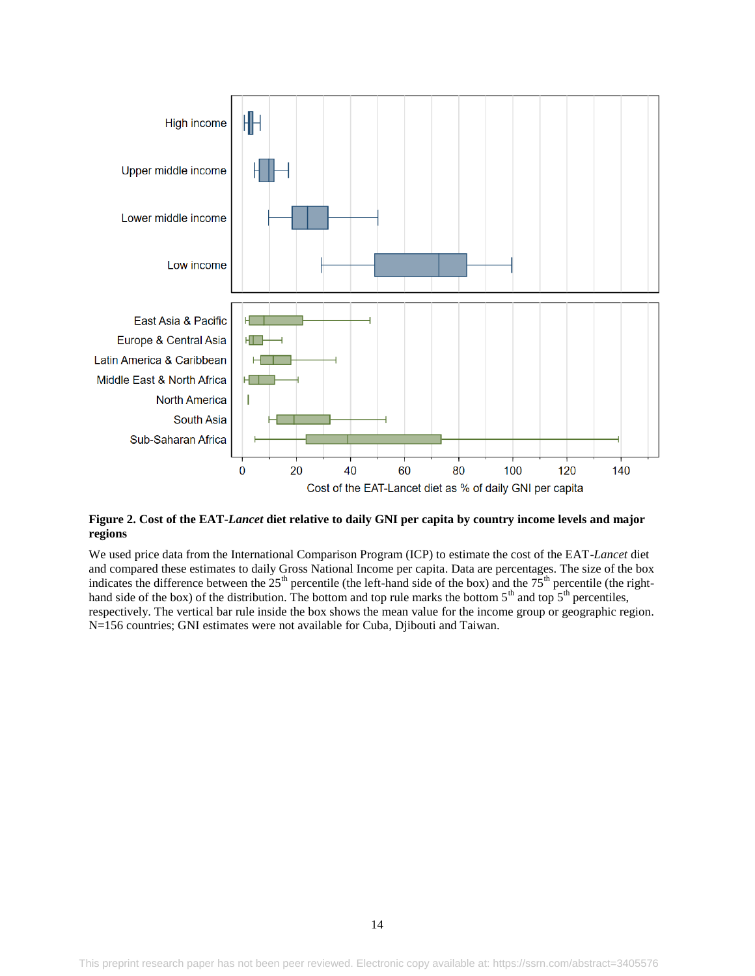

# **Figure 2. Cost of the EAT-***Lancet* **diet relative to daily GNI per capita by country income levels and major regions**

We used price data from the International Comparison Program (ICP) to estimate the cost of the EAT-*Lancet* diet and compared these estimates to daily Gross National Income per capita. Data are percentages. The size of the box indicates the difference between the  $25<sup>th</sup>$  percentile (the left-hand side of the box) and the  $75<sup>th</sup>$  percentile (the righthand side of the box) of the distribution. The bottom and top rule marks the bottom  $5<sup>th</sup>$  and top  $5<sup>th</sup>$  percentiles, respectively. The vertical bar rule inside the box shows the mean value for the income group or geographic region. N=156 countries; GNI estimates were not available for Cuba, Djibouti and Taiwan.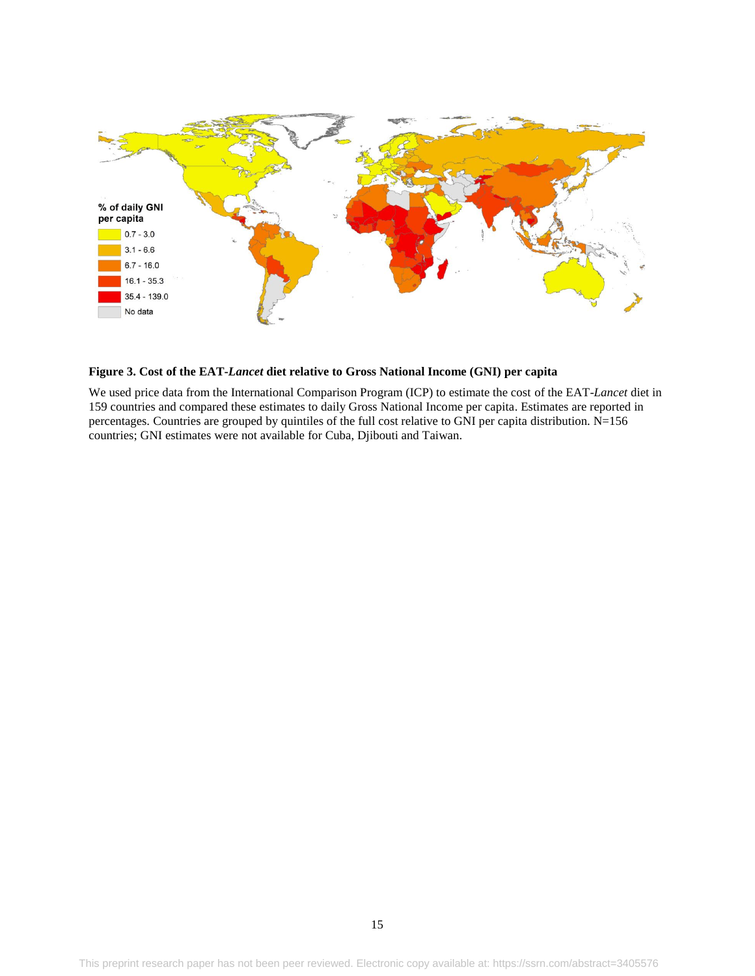

# **Figure 3. Cost of the EAT-***Lancet* **diet relative to Gross National Income (GNI) per capita**

We used price data from the International Comparison Program (ICP) to estimate the cost of the EAT-*Lancet* diet in 159 countries and compared these estimates to daily Gross National Income per capita. Estimates are reported in percentages. Countries are grouped by quintiles of the full cost relative to GNI per capita distribution. N=156 countries; GNI estimates were not available for Cuba, Djibouti and Taiwan.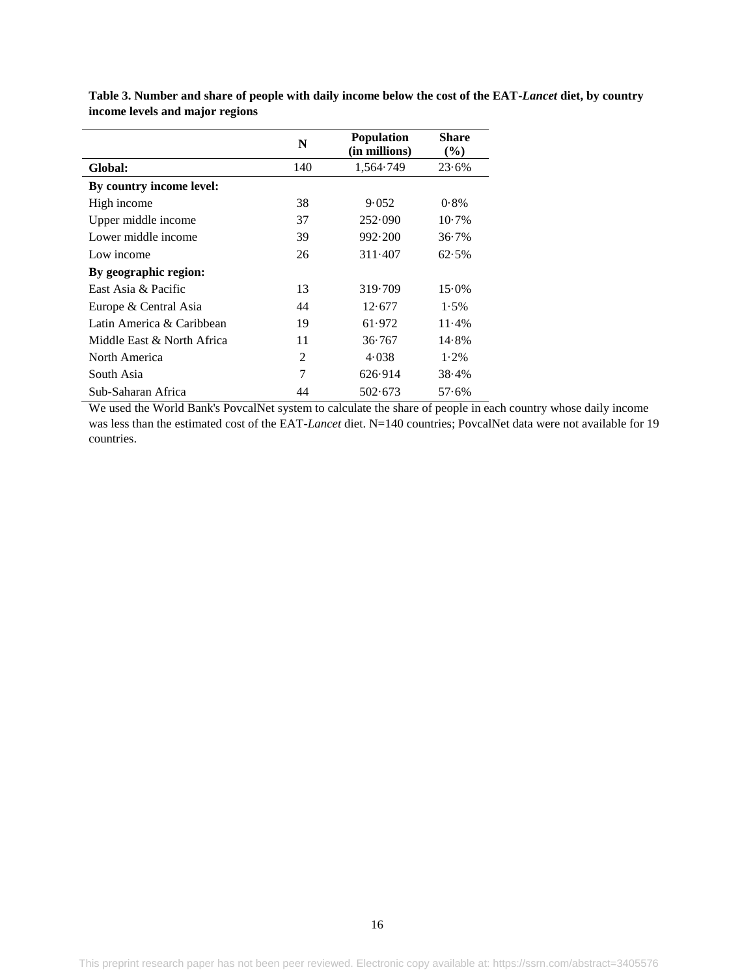|                            | N              | <b>Population</b><br>(in millions) | <b>Share</b><br>$(\%)$ |
|----------------------------|----------------|------------------------------------|------------------------|
| Global:                    | 140            | 1,564.749                          | 23.6%                  |
| By country income level:   |                |                                    |                        |
| High income                | 38             | 9.052                              | 0.8%                   |
| Upper middle income        | 37             | 252.090                            | $10.7\%$               |
| Lower middle income        | 39             | 992.200                            | 36.7%                  |
| Low income                 | 26             | 311.407                            | 62.5%                  |
| By geographic region:      |                |                                    |                        |
| East Asia & Pacific        | 13             | 319.709                            | $15.0\%$               |
| Europe & Central Asia      | 44             | 12.677                             | $1.5\%$                |
| Latin America & Caribbean  | 19             | 61.972                             | 11.4%                  |
| Middle East & North Africa | 11             | 36.767                             | 14.8%                  |
| North America              | $\overline{2}$ | 4.038                              | $1.2\%$                |
| South Asia                 | 7              | 626.914                            | 38.4%                  |
| Sub-Saharan Africa         | 44             | 502.673                            | $57.6\%$               |

**Table 3. Number and share of people with daily income below the cost of the EAT-***Lancet* **diet, by country income levels and major regions** 

We used the World Bank's PovcalNet system to calculate the share of people in each country whose daily income was less than the estimated cost of the EAT-*Lancet* diet. N=140 countries; PovcalNet data were not available for 19 countries.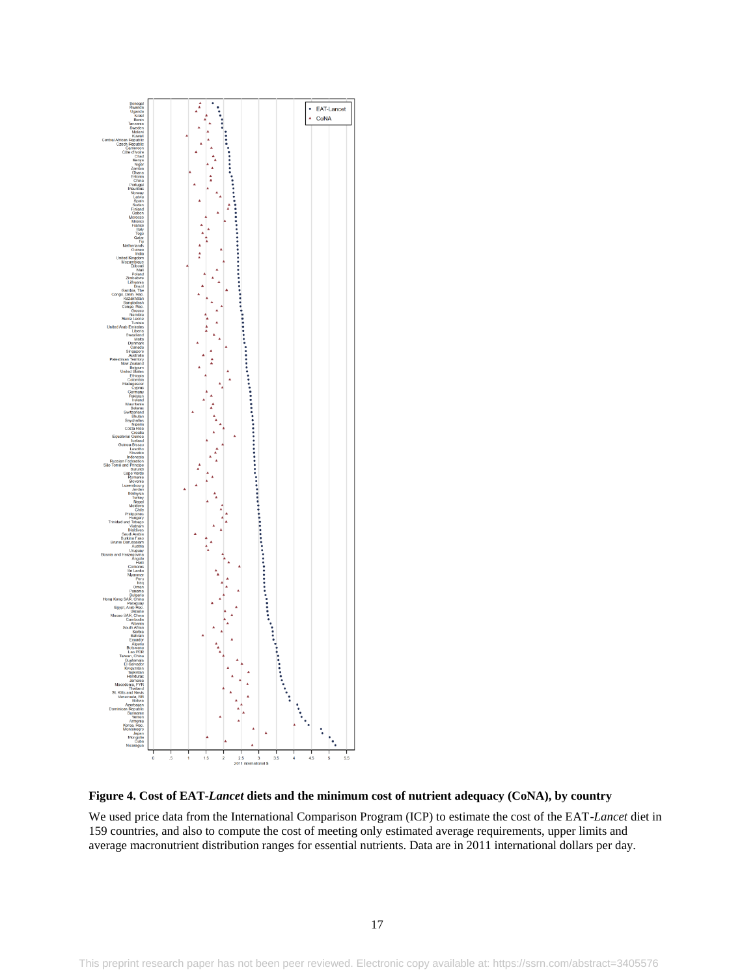

**Figure 4. Cost of EAT-***Lancet* **diets and the minimum cost of nutrient adequacy (CoNA), by country** 

We used price data from the International Comparison Program (ICP) to estimate the cost of the EAT-*Lancet* diet in 159 countries, and also to compute the cost of meeting only estimated average requirements, upper limits and average macronutrient distribution ranges for essential nutrients. Data are in 2011 international dollars per day.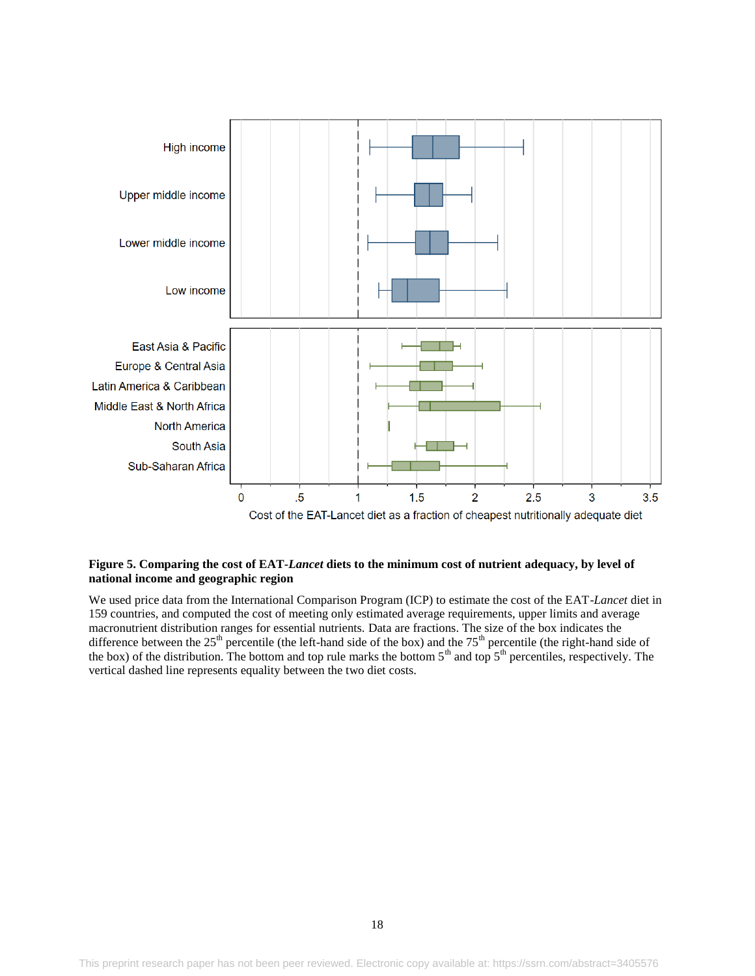

# **Figure 5. Comparing the cost of EAT-***Lancet* **diets to the minimum cost of nutrient adequacy, by level of national income and geographic region**

We used price data from the International Comparison Program (ICP) to estimate the cost of the EAT-*Lancet* diet in 159 countries, and computed the cost of meeting only estimated average requirements, upper limits and average macronutrient distribution ranges for essential nutrients. Data are fractions. The size of the box indicates the difference between the  $25<sup>th</sup>$  percentile (the left-hand side of the box) and the  $75<sup>th</sup>$  percentile (the right-hand side of the box) of the distribution. The bottom and top rule marks the bottom  $5<sup>th</sup>$  and top  $5<sup>th</sup>$  percentiles, respectively. The vertical dashed line represents equality between the two diet costs.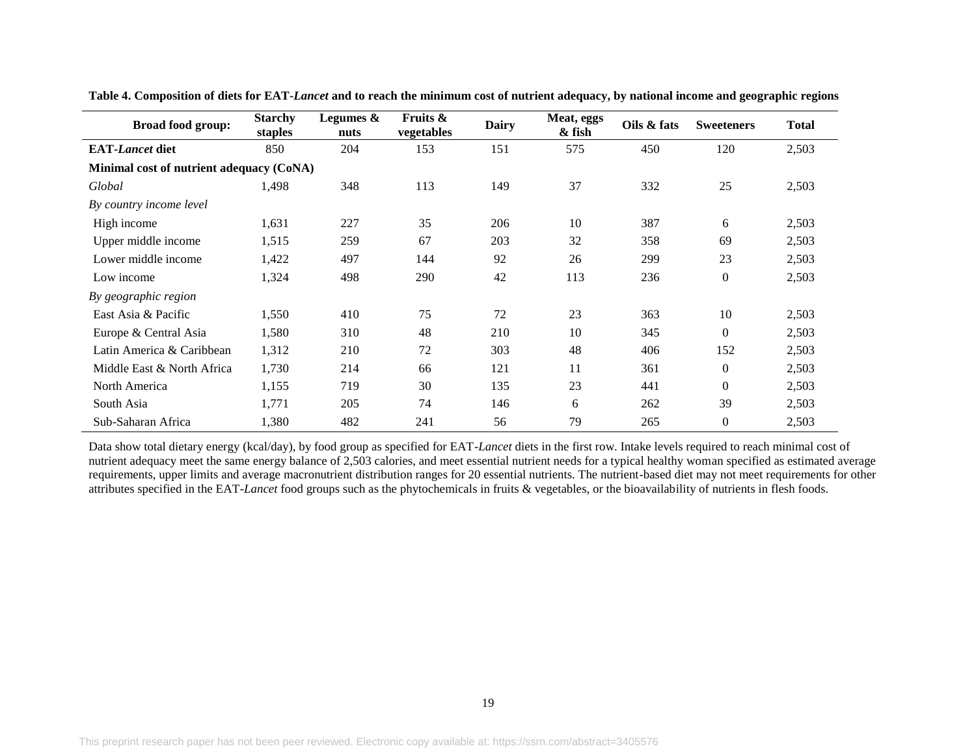| <b>Broad food group:</b>                 | <b>Starchy</b><br>staples | Legumes &<br>nuts | Fruits &<br>vegetables | <b>Dairy</b> | Meat, eggs<br>& fish | Oils & fats | <b>Sweeteners</b> | <b>Total</b> |
|------------------------------------------|---------------------------|-------------------|------------------------|--------------|----------------------|-------------|-------------------|--------------|
| <b>EAT-Lancet diet</b>                   | 850                       | 204               | 153                    | 151          | 575                  | 450         | 120               | 2,503        |
| Minimal cost of nutrient adequacy (CoNA) |                           |                   |                        |              |                      |             |                   |              |
| Global                                   | 1,498                     | 348               | 113                    | 149          | 37                   | 332         | 25                | 2,503        |
| By country income level                  |                           |                   |                        |              |                      |             |                   |              |
| High income                              | 1,631                     | 227               | 35                     | 206          | 10                   | 387         | 6                 | 2,503        |
| Upper middle income                      | 1,515                     | 259               | 67                     | 203          | 32                   | 358         | 69                | 2,503        |
| Lower middle income                      | 1,422                     | 497               | 144                    | 92           | 26                   | 299         | 23                | 2,503        |
| Low income                               | 1,324                     | 498               | 290                    | 42           | 113                  | 236         | $\boldsymbol{0}$  | 2,503        |
| By geographic region                     |                           |                   |                        |              |                      |             |                   |              |
| East Asia & Pacific                      | 1,550                     | 410               | 75                     | 72           | 23                   | 363         | 10                | 2,503        |
| Europe & Central Asia                    | 1,580                     | 310               | 48                     | 210          | 10                   | 345         | $\mathbf{0}$      | 2,503        |
| Latin America & Caribbean                | 1,312                     | 210               | 72                     | 303          | 48                   | 406         | 152               | 2,503        |
| Middle East & North Africa               | 1,730                     | 214               | 66                     | 121          | 11                   | 361         | $\mathbf{0}$      | 2,503        |
| North America                            | 1,155                     | 719               | 30                     | 135          | 23                   | 441         | $\mathbf{0}$      | 2,503        |
| South Asia                               | 1,771                     | 205               | 74                     | 146          | 6                    | 262         | 39                | 2,503        |
| Sub-Saharan Africa                       | 1,380                     | 482               | 241                    | 56           | 79                   | 265         | $\boldsymbol{0}$  | 2,503        |

**Table 4. Composition of diets for EAT-***Lancet* **and to reach the minimum cost of nutrient adequacy, by national income and geographic regions** 

Data show total dietary energy (kcal/day), by food group as specified for EAT-*Lancet* diets in the first row. Intake levels required to reach minimal cost of nutrient adequacy meet the same energy balance of 2,503 calories, and meet essential nutrient needs for a typical healthy woman specified as estimated average requirements, upper limits and average macronutrient distribution ranges for 20 essential nutrients. The nutrient-based diet may not meet requirements for other attributes specified in the EAT-*Lancet* food groups such as the phytochemicals in fruits & vegetables, or the bioavailability of nutrients in flesh foods.